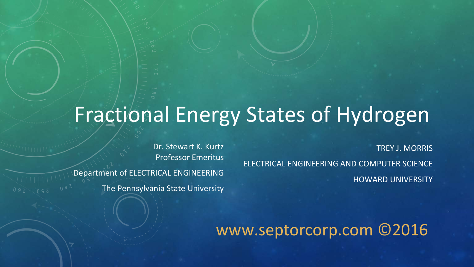# Fractional Energy States of Hydrogen

TREY J. MORRIS ELECTRICAL ENGINEERING AND COMPUTER SCIENCE HOWARD UNIVERSITY

Dr. Stewart K. Kurtz Professor Emeritus Department of ELECTRICAL ENGINEERING The Pennsylvania State University

www.septorcorp.com ©2016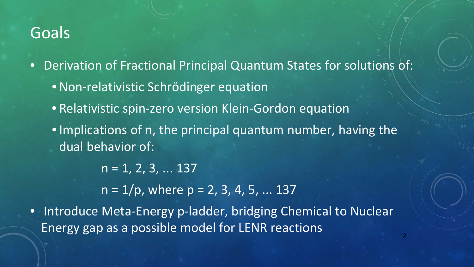### Goals

- Derivation of Fractional Principal Quantum States for solutions of:
	- Non-relativistic Schrödinger equation
	- Relativistic spin-zero version Klein-Gordon equation
	- •Implications of n, the principal quantum number, having the dual behavior of:

 $n = 1, 2, 3, \dots 137$ 

 $n = 1/p$ , where  $p = 2, 3, 4, 5, ... 137$ 

• Introduce Meta-Energy p-ladder, bridging Chemical to Nuclear Energy gap as a possible model for LENR reactions 2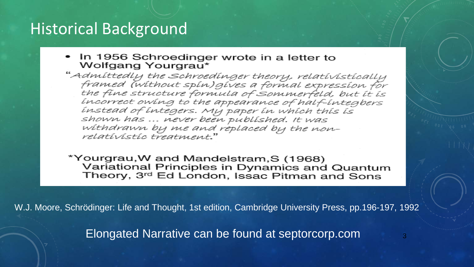## Historical Background

• In 1956 Schroedinger wrote in a letter to Wolfgang Yourgrau\*

"Admittedly the Schroedinger theory, relativistically framed (without spin) gives a formal expression for<br>the fine structure formula of Sommerfeld, but it is incorrect owing to the appearance of half-integbers instead of integers. My paper in which this is shown has ... never been published. It was withdrawn by me and replaced by the nonrelatívistic treatment."

\*Yourgrau,W and Mandelstram,S (1968) Variational Principles in Dynamics and Quantum Theory, 3rd Ed London, Issac Pitman and Sons

W.J. Moore, Schrödinger: Life and Thought, 1st edition, Cambridge University Press, pp.196-197, 1992

Elongated Narrative can be found at septorcorp.com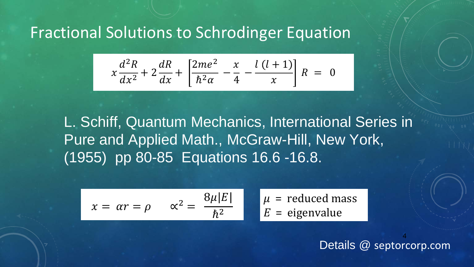## Fractional Solutions to Schrodinger Equation

$$
x\frac{d^{2}R}{dx^{2}} + 2\frac{dR}{dx} + \left[\frac{2me^{2}}{\hbar^{2}\alpha} - \frac{x}{4} - \frac{l(l+1)}{x}\right]R = 0
$$

L. Schiff, Quantum Mechanics, International Series in Pure and Applied Math., McGraw-Hill, New York, (1955) pp 80-85 Equations 16.6 -16.8.

$$
x = \alpha r = \rho
$$
  $\alpha^2 = \frac{8\mu|E|}{\hbar^2}$   $\mu$  = reduced mass  
 $E$  = eigenvalue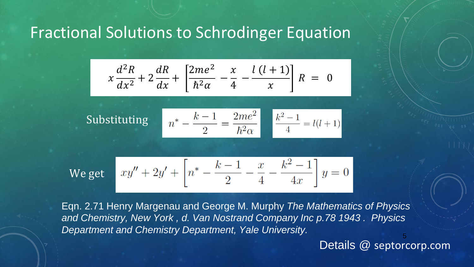## Fractional Solutions to Schrodinger Equation

$$
x\frac{d^{2}R}{dx^{2}} + 2\frac{dR}{dx} + \left[\frac{2me^{2}}{\hbar^{2}\alpha} - \frac{x}{4} - \frac{l(l+1)}{x}\right]R = 0
$$

 $n^* - \frac{k-1}{2} = \frac{2me^2}{\hbar^2 \alpha}$   $\frac{k^2 - 1}{4} = l(l+1)$ **Substituting** 

We get 
$$
xy'' + 2y' + \left[n^* - \frac{k-1}{2} - \frac{x}{4} - \frac{k^2 - 1}{4x}\right]y = 0
$$

5 Eqn. 2.71 Henry Margenau and George M. Murphy *The Mathematics of Physics and Chemistry, New York , d. Van Nostrand Company Inc p.78 1943 . Physics Department and Chemistry Department, Yale University.*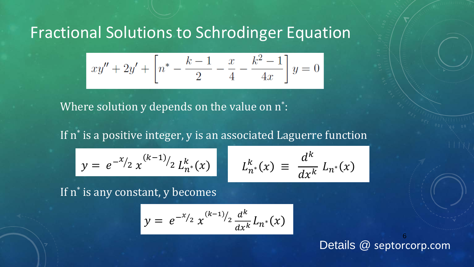## Fractional Solutions to Schrodinger Equation

$$
xy'' + 2y' + \left[n^* - \frac{k-1}{2} - \frac{x}{4} - \frac{k^2 - 1}{4x}\right]y = 0
$$

Where solution y depends on the value on n\* :

If n<sup>\*</sup> is a positive integer, y is an associated Laguerre function

 $y = e^{-x/2} x$  $k-1$ 2  $\left| \begin{array}{cc} 2 \ L_{n^*}^k(x) & E_{n^*}^k \end{array} \right|$ 

$$
L_{n^*}^k(x) \equiv \frac{d^k}{dx^k} L_{n^*}(x)
$$

If n<sup>\*</sup> is any constant, y becomes

$$
y = e^{-x/2} x^{(k-1)/2} \frac{d^k}{dx^k} L_{n^*}(x)
$$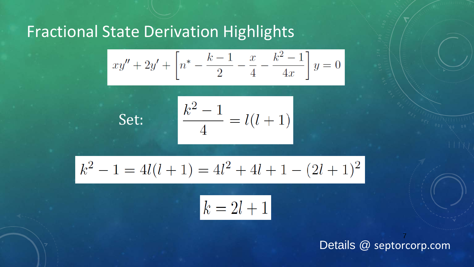## Fractional State Derivation Highlights

Set:

$$
xy'' + 2y' + \left[n^* - \frac{k-1}{2} - \frac{x}{4} - \frac{k^2 - 1}{4x}\right]y = 0
$$

$$
\frac{k^2 - 1}{4} = l(l+1)
$$

$$
k^2 - 1 = 4l(l+1) = 4l^2 + 4l + 1 - (2l+1)^2
$$

$$
k = 2l + 1
$$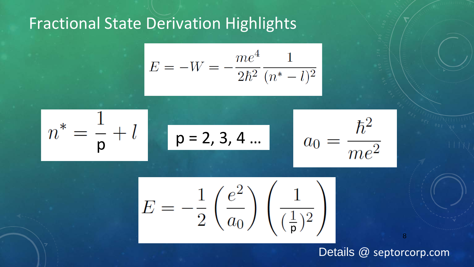## Fractional State Derivation Highlights

$$
E = -W = -\frac{me^4}{2\hbar^2} \frac{1}{(n^*-l)^2}
$$

$$
n^* = \frac{1}{p} + l \qquad p = 2, 3, 4 ... \qquad a_0 = \frac{\hbar^2}{me^2}
$$

$$
E = -\frac{1}{2} \left( \frac{e^2}{a_0} \right) \left( \frac{1}{(\frac{1}{\mathsf{p}})^2} \right)
$$

#### Details @ septorcorp.com

8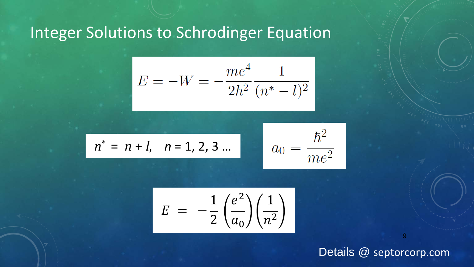## Integer Solutions to Schrodinger Equation

$$
E = -W = -\frac{me^4}{2\hbar^2} \frac{1}{(n^*-l)^2}
$$

$$
n^* = n + l
$$
,  $n = 1, 2, 3 ...$ 

$$
a_0 = \frac{\hbar^2}{me^2}
$$

$$
E = -\frac{1}{2} \left( \frac{e^2}{a_0} \right) \left( \frac{1}{n^2} \right)
$$

Details @ septorcorp.com

9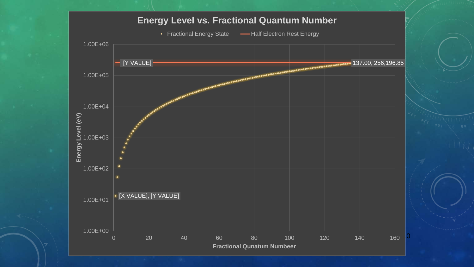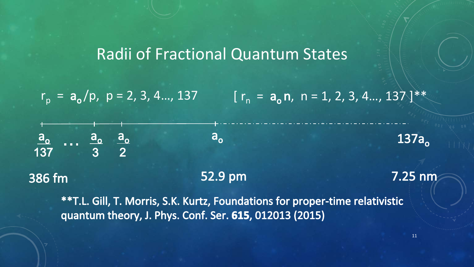### Radii of Fractional Quantum States

 $r_p = a_o/p$ ,  $p = 2, 3, 4..., 137$  [  $r_n = a_o n$ ,  $n = 1, 2, 3, 4..., 137$ ]\*\*

 $\frac{a_o}{137}$  ...  $\frac{a_o}{3}$   $\frac{a_o}{2}$  $a_{o}$  $137a<sub>o</sub>$ 52.9 pm 7.25 nm 386 fm

\*\* T.L. Gill, T. Morris, S.K. Kurtz, Foundations for proper-time relativistic quantum theory, J. Phys. Conf. Ser. 615, 012013 (2015)

11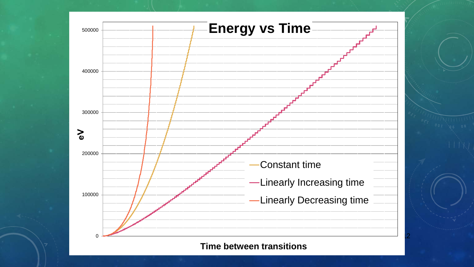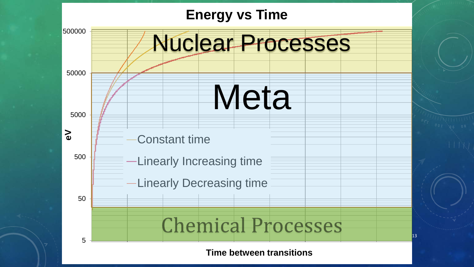## **Energy vs Time**

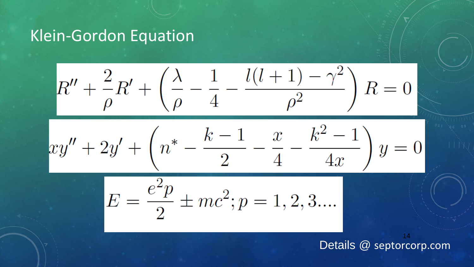## Klein-Gordon Equation

$$
R'' + \frac{2}{\rho}R' + \left(\frac{\lambda}{\rho} - \frac{1}{4} - \frac{l(l+1) - \gamma^2}{\rho^2}\right)R = 0
$$

$$
xy'' + 2y' + \left(n^* - \frac{k-1}{2} - \frac{x}{4} - \frac{k^2 - 1}{4x}\right)y = 0
$$

$$
E = \frac{e^2p}{2} \pm mc^2; p = 1, 2, 3....
$$